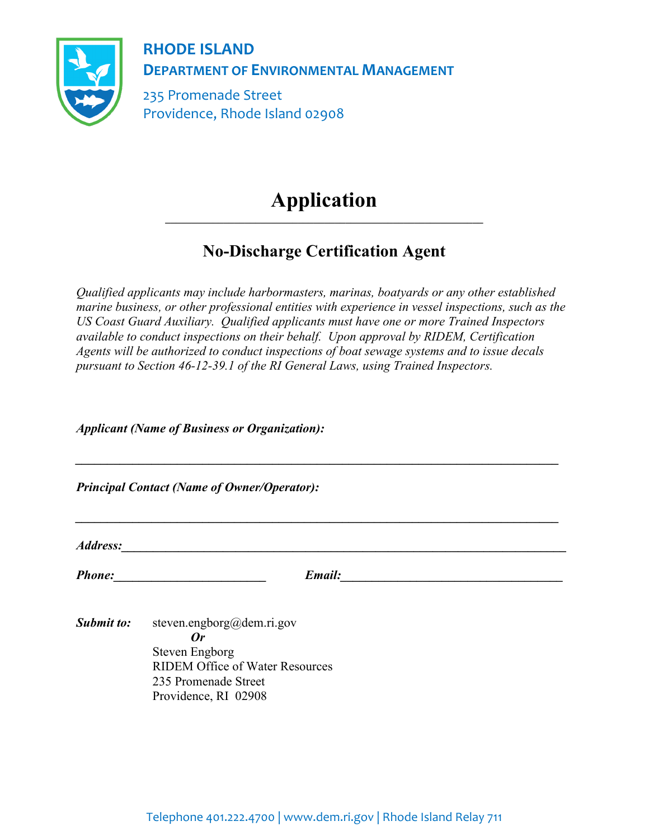

**RHODE ISLAND DEPARTMENT OF ENVIRONMENTAL MANAGEMENT**

235 Promenade Street Providence, Rhode Island 02908

## **Application \_\_\_\_\_\_\_\_\_\_\_\_\_\_\_\_\_\_\_\_\_\_\_\_\_\_\_\_\_\_\_\_\_\_\_\_\_\_\_\_\_\_\_\_\_\_\_\_\_\_\_\_\_\_\_\_\_\_\_\_**

## **No-Discharge Certification Agent**

*Qualified applicants may include harbormasters, marinas, boatyards or any other established marine business, or other professional entities with experience in vessel inspections, such as the US Coast Guard Auxiliary. Qualified applicants must have one or more Trained Inspectors available to conduct inspections on their behalf. Upon approval by RIDEM, Certification Agents will be authorized to conduct inspections of boat sewage systems and to issue decals pursuant to Section 46-12-39.1 of the RI General Laws, using Trained Inspectors.*

*Applicant (Name of Business or Organization):*

*Principal Contact (Name of Owner/Operator):*

*Address:* 

*Phone:\_\_\_\_\_\_\_\_\_\_\_\_\_\_\_\_\_\_\_\_\_\_\_\_ Email:\_\_\_\_\_\_\_\_\_\_\_\_\_\_\_\_\_\_\_\_\_\_\_\_\_\_\_\_\_\_\_\_\_\_\_*

*\_\_\_\_\_\_\_\_\_\_\_\_\_\_\_\_\_\_\_\_\_\_\_\_\_\_\_\_\_\_\_\_\_\_\_\_\_\_\_\_\_\_\_\_\_\_\_\_\_\_\_\_\_\_\_\_\_\_\_\_\_\_\_\_\_\_\_\_\_\_\_\_\_\_\_\_*

*\_\_\_\_\_\_\_\_\_\_\_\_\_\_\_\_\_\_\_\_\_\_\_\_\_\_\_\_\_\_\_\_\_\_\_\_\_\_\_\_\_\_\_\_\_\_\_\_\_\_\_\_\_\_\_\_\_\_\_\_\_\_\_\_\_\_\_\_\_\_\_\_\_\_\_\_*

*Submit to:* steven.engborg@dem.ri.gov *Or* Steven Engborg RIDEM Office of Water Resources 235 Promenade Street Providence, RI 02908